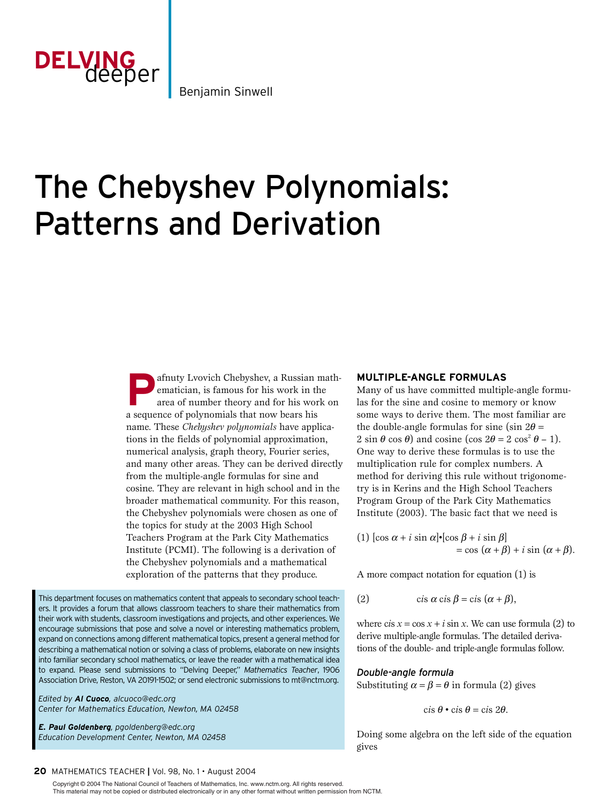

Benjamin Sinwell

# The Chebyshev Polynomials: Patterns and Derivation

afnuty Lvovich Chebyshev, a Russian mathematician, is famous for his work in the area of number theory and for his work on a sequence of polynomials that now bears his name. These *Chebyshev polynomials* have applications in the fields of polynomial approximation, numerical analysis, graph theory, Fourier series, and many other areas. They can be derived directly from the multiple-angle formulas for sine and cosine. They are relevant in high school and in the broader mathematical community. For this reason, the Chebyshev polynomials were chosen as one of the topics for study at the 2003 High School Teachers Program at the Park City Mathematics Institute (PCMI). The following is a derivation of the Chebyshev polynomials and a mathematical exploration of the patterns that they produce.

This department focuses on mathematics content that appeals to secondary school teachers. It provides a forum that allows classroom teachers to share their mathematics from their work with students, classroom investigations and projects, and other experiences. We encourage submissions that pose and solve a novel or interesting mathematics problem, expand on connections among different mathematical topics, present a general method for describing a mathematical notion or solving a class of problems, elaborate on new insights into familiar secondary school mathematics, or leave the reader with a mathematical idea to expand. Please send submissions to "Delving Deeper," *Mathematics Teacher*, 1906 Association Drive, Reston, VA 20191-1502; or send electronic submissions to mt@nctm.org.

*Edited by Al Cuoco, alcuoco@edc.org Center for Mathematics Education, Newton, MA 02458*

*E. Paul Goldenberg, pgoldenberg@edc.org Education Development Center, Newton, MA 02458*

## **MULTIPLE-ANGLE FORMULAS**

Many of us have committed multiple-angle formulas for the sine and cosine to memory or know some ways to derive them. The most familiar are the double-angle formulas for sine (sin  $2\theta =$  $2 \sin \theta \cos \theta$  and cosine (cos  $2\theta = 2 \cos^2 \theta - 1$ ). One way to derive these formulas is to use the multiplication rule for complex numbers. A method for deriving this rule without trigonometry is in Kerins and the High School Teachers Program Group of the Park City Mathematics Institute (2003). The basic fact that we need is

(1)  $[\cos \alpha + i \sin \alpha] \cdot [\cos \beta + i \sin \beta]$  $=$  cos  $(\alpha + \beta) + i \sin (\alpha + \beta)$ .

A more compact notation for equation (1) is

(2) 
$$
\text{cis }\alpha \text{ cis }\beta = \text{cis }(\alpha + \beta),
$$

where  $cis x = cos x + i sin x$ . We can use formula (2) to derive multiple-angle formulas. The detailed derivations of the double- and triple-angle formulas follow.

#### *Double-angle formula*

Substituting  $\alpha = \beta = \theta$  in formula (2) gives

$$
\text{cis }\theta \bullet \text{cis }\theta = \text{cis }2\theta.
$$

Doing some algebra on the left side of the equation gives

 Copyright © 2004 The National Council of Teachers of Mathematics, Inc. www.nctm.org. All rights reserved. This material may not be copied or distributed electronically or in any other format without written permission from NCTM.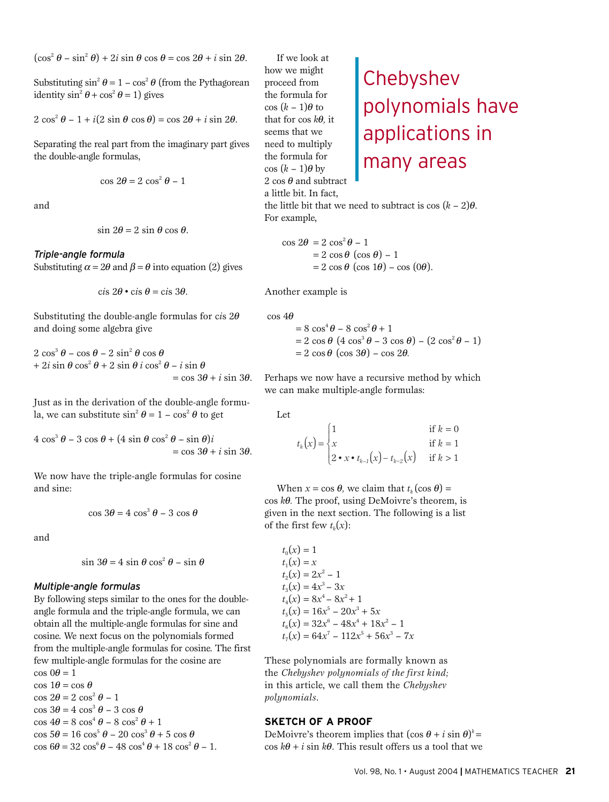$(\cos^2 \theta - \sin^2 \theta) + 2i \sin \theta \cos \theta = \cos 2\theta + i \sin 2\theta$ .

Substituting  $\sin^2 \theta = 1 - \cos^2 \theta$  (from the Pythagorean identity  $\sin^2 \theta + \cos^2 \theta = 1$ ) gives

$$
2\cos^2\theta - 1 + i(2\sin\theta\cos\theta) = \cos 2\theta + i\sin 2\theta.
$$

Separating the real part from the imaginary part gives the double-angle formulas,

$$
\cos 2\theta = 2 \cos^2 \theta - 1
$$

and

$$
\sin 2\theta = 2 \sin \theta \cos \theta.
$$

#### *Triple-angle formula*

Substituting  $\alpha = 2\theta$  and  $\beta = \theta$  into equation (2) gives

$$
\text{cis } 2\theta \bullet \text{cis } \theta = \text{cis } 3\theta.
$$

Substituting the double-angle formulas for cis  $2\theta$ and doing some algebra give

$$
2 \cos^{3} \theta - \cos \theta - 2 \sin^{2} \theta \cos \theta
$$
  
+ 
$$
2i \sin \theta \cos^{2} \theta + 2 \sin \theta i \cos^{2} \theta - i \sin \theta
$$
  
= 
$$
\cos 3\theta + i \sin 3\theta.
$$

Just as in the derivation of the double-angle formula, we can substitute  $\sin^2 \theta = 1 - \cos^2 \theta$  to get

 $4 \cos^3 \theta - 3 \cos \theta + (4 \sin \theta \cos^2 \theta - \sin \theta)i$  $=$  cos  $3\theta + i \sin 3\theta$ .

We now have the triple-angle formulas for cosine and sine:

$$
\cos 3\theta = 4\cos^3 \theta - 3\cos \theta
$$

and

$$
\sin 3\theta = 4 \sin \theta \cos^2 \theta - \sin \theta
$$

#### *Multiple-angle formulas*

By following steps similar to the ones for the doubleangle formula and the triple-angle formula, we can obtain all the multiple-angle formulas for sine and cosine. We next focus on the polynomials formed from the multiple-angle formulas for cosine. The first few multiple-angle formulas for the cosine are  $\cos 0\theta = 1$ 

 $\cos 1\theta = \cos \theta$  $\cos 2\theta = 2 \cos^2 \theta - 1$  $\cos 3\theta = 4 \cos^3 \theta - 3 \cos \theta$  $\cos 4\theta = 8 \cos^4 \theta - 8 \cos^2 \theta + 1$  $\cos 5\theta = 16 \cos^5 \theta - 20 \cos^3 \theta + 5 \cos \theta$  $\cos 6\theta = 32 \cos^6 \theta - 48 \cos^4 \theta + 18 \cos^2 \theta - 1.$ 

If we look at how we might proceed from the formula for  $\cos (k-1)\theta$  to that for  $\cos k\theta$ , it seems that we need to multiply the formula for  $\cos (k-1)\theta$  by 2 cos  $\theta$  and subtract a little bit. In fact, the little bit that we need to subtract is  $\cos (k-2)\theta$ . For example,

 $\cos 2\theta = 2 \cos^2 \theta - 1$  $= 2 \cos \theta (\cos \theta) - 1$  $= 2 \cos \theta$  (cos 1 $\theta$ ) – cos (0 $\theta$ ).

Another example is

 $\cos 4\theta$ 

$$
= 8 \cos^{4} \theta - 8 \cos^{2} \theta + 1
$$
  
= 2 \cos \theta (4 \cos^{3} \theta - 3 \cos \theta) - (2 \cos^{2} \theta - 1)  
= 2 \cos \theta ( \cos 3\theta ) - \cos 2\theta.

Perhaps we now have a recursive method by which we can make multiple-angle formulas:

Let

$$
t_k(x) = \begin{cases} 1 & \text{if } k = 0\\ x & \text{if } k = 1\\ 2 \cdot x \cdot t_{k-1}(x) - t_{k-2}(x) & \text{if } k > 1 \end{cases}
$$

When  $x = \cos \theta$ , we claim that  $t_k(\cos \theta) =$ cos *k*q*.* The proof, using DeMoivre's theorem, is given in the next section. The following is a list of the first few  $t_k(x)$ :

 $t_0(x) = 1$  $t_1(x) = x$  $t_2(x) = 2x^2 - 1$  $t_3(x) = 4x^3 - 3x$  $t_4(x) = 8x^4 - 8x^2 + 1$  $t_5(x) = 16x^5 - 20x^3 + 5x$  $t_6(x) = 32x^6 - 48x^4 + 18x^2 - 1$  $t_7(x) = 64x^7 - 112x^5 + 56x^3 - 7x$ 

These polynomials are formally known as the *Chebyshev polynomials of the first kind;* in this article, we call them the *Chebyshev polynomials*.

### **SKETCH OF A PROOF**

DeMoivre's theorem implies that  $(\cos \theta + i \sin \theta)^k =$  $\cos k\theta + i \sin k\theta$ . This result offers us a tool that we

Chebyshev polynomials have applications in many areas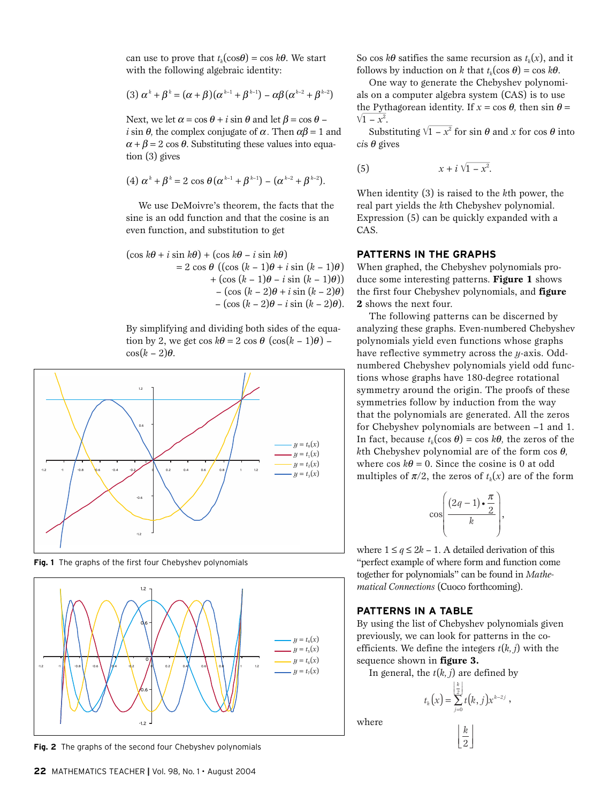can use to prove that  $t_k(\cos\theta) = \cos k\theta$ . We start with the following algebraic identity:

$$
(3) \alpha^k + \beta^k = (\alpha + \beta)(\alpha^{k-1} + \beta^{k-1}) - \alpha\beta(\alpha^{k-2} + \beta^{k-2})
$$

Next, we let  $\alpha = \cos \theta + i \sin \theta$  and let  $\beta = \cos \theta$  – *i* sin  $\theta$ , the complex conjugate of  $\alpha$ . Then  $\alpha\beta = 1$  and  $\alpha + \beta = 2 \cos \theta$ . Substituting these values into equation (3) gives

(4) 
$$
\alpha^{k} + \beta^{k} = 2 \cos \theta (\alpha^{k-1} + \beta^{k-1}) - (\alpha^{k-2} + \beta^{k-2}).
$$

We use DeMoivre's theorem, the facts that the sine is an odd function and that the cosine is an even function, and substitution to get

$$
(\cos k\theta + i \sin k\theta) + (\cos k\theta - i \sin k\theta)
$$
  
= 2 cos  $\theta$  ((cos  $(k - 1)\theta + i \sin (k - 1)\theta)$ )  
+ (cos  $(k - 1)\theta - i \sin (k - 1)\theta)$ )  
- (cos  $(k - 2)\theta + i \sin (k - 2)\theta$ )  
- (cos  $(k - 2)\theta - i \sin (k - 2)\theta$ ).

By simplifying and dividing both sides of the equation by 2, we get  $\cos k\theta = 2 \cos \theta (\cos(k-1)\theta)$  –  $\cos(k-2)\theta$ .



**Fig. 1** The graphs of the first four Chebyshev polynomials



**Fig. 2** The graphs of the second four Chebyshev polynomials

So cos  $k\theta$  satifies the same recursion as  $t_k(x)$ , and it follows by induction on *k* that  $t_k(\cos \theta) = \cos k\theta$ .

One way to generate the Chebyshev polynomials on a computer algebra system (CAS) is to use the Pythagorean identity. If  $x = \cos \theta$ , then  $\sin \theta = \sqrt{1 - x^2}$ .  $1 - x^2$ .  $\frac{1}{x}$   $\frac{1}{y}$  independent identity. If  $x = \cos \theta$ , then  $\sin \theta = -x^2$ .<br>Substituting  $\sqrt{1-x^2}$  for sin  $\theta$  and *x* for cos  $\theta$  into

 $cis \theta$  gives

(5) 
$$
x + i\sqrt{1 - x^2}
$$
.

When identity (3) is raised to the *k*th power, the real part yields the *k*th Chebyshev polynomial. Expression (5) can be quickly expanded with a CAS.

## **PATTERNS IN THE GRAPHS**

When graphed, the Chebyshev polynomials produce some interesting patterns. **Figure 1** shows the first four Chebyshev polynomials, and **figure 2** shows the next four.

The following patterns can be discerned by analyzing these graphs. Even-numbered Chebyshev polynomials yield even functions whose graphs have reflective symmetry across the *y*-axis. Oddnumbered Chebyshev polynomials yield odd functions whose graphs have 180-degree rotational symmetry around the origin. The proofs of these symmetries follow by induction from the way that the polynomials are generated. All the zeros for Chebyshev polynomials are between –1 and 1. In fact, because  $t_k(\cos \theta) = \cos k\theta$ , the zeros of the *k*th Chebyshev polynomial are of the form  $\cos \theta$ , where  $\cos k\theta = 0$ . Since the cosine is 0 at odd multiples of  $\pi/2$ , the zeros of  $t_k(x)$  are of the form

$$
\cos\left(\frac{(2q-1)\cdot\frac{\pi}{2}}{k}\right),\,
$$

where  $1 \leq q \leq 2k - 1$ . A detailed derivation of this "perfect example of where form and function come together for polynomials" can be found in *Mathematical Connections* (Cuoco forthcoming).

## **PATTERNS IN A TABLE**

By using the list of Chebyshev polynomials given previously, we can look for patterns in the coefficients. We define the integers  $t(k, j)$  with the sequence shown in **figure 3.**

In general, the *t*(*k, j*) are defined by

$$
t_k\big(x\big)=\sum_{j=0}^{\left\lfloor\frac{k}{2}\right\rfloor}t\big(k,j\big)x^{k-2j}\;,
$$

 $\left\lfloor \frac{k}{2} \right\rfloor$ *k* 2

where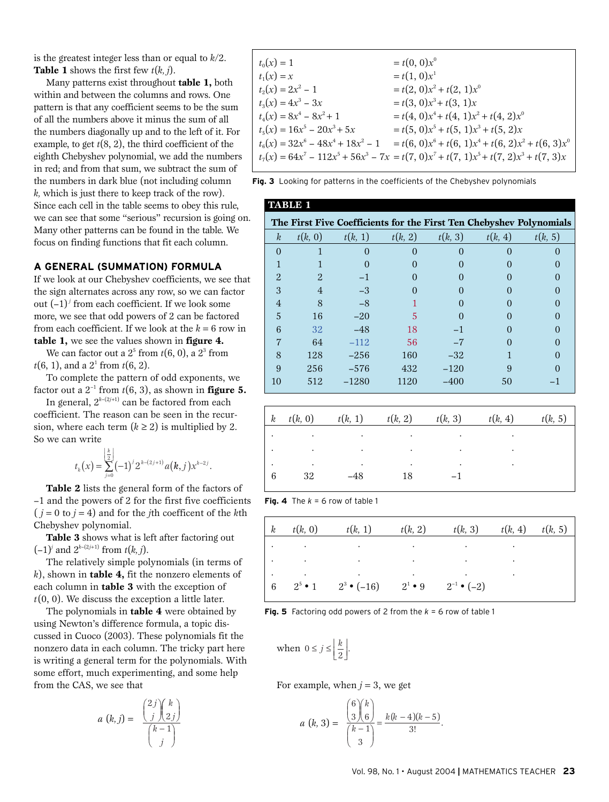is the greatest integer less than or equal to *k*/2. **Table 1** shows the first few  $t(k, j)$ .

Many patterns exist throughout **table 1,** both within and between the columns and rows. One pattern is that any coefficient seems to be the sum of all the numbers above it minus the sum of all the numbers diagonally up and to the left of it. For example, to get  $t(8, 2)$ , the third coefficient of the eighth Chebyshev polynomial, we add the numbers in red; and from that sum, we subtract the sum of the numbers in dark blue (not including column *k,* which is just there to keep track of the row). Since each cell in the table seems to obey this rule, we can see that some "serious" recursion is going on. Many other patterns can be found in the table. We focus on finding functions that fit each column.

#### **A GENERAL (SUMMATION) FORMULA**

If we look at our Chebyshev coefficients, we see that the sign alternates across any row, so we can factor out (–1)*<sup>j</sup>* from each coefficient. If we look some more, we see that odd powers of 2 can be factored from each coefficient. If we look at the  $k = 6$  row in **table 1,** we see the values shown in **figure 4.**

We can factor out a  $2^5$  from  $t(6, 0)$ , a  $2^3$  from  $t(6, 1)$ , and a  $2<sup>1</sup>$  from  $t(6, 2)$ .

To complete the pattern of odd exponents, we factor out a  $2^{-1}$  from  $t(6, 3)$ , as shown in **figure 5.** 

In general,  $2^{k-(2j+1)}$  can be factored from each coefficient. The reason can be seen in the recursion, where each term  $(k \ge 2)$  is multiplied by 2. So we can write

$$
t_k(x) = \sum_{j=0}^{\left\lfloor \frac{k}{2} \right\rfloor} (-1)^j 2^{k - (2j+1)} a(k,j) x^{k-2j}.
$$

**Table 2** lists the general form of the factors of –1 and the powers of 2 for the first five coefficients  $(j = 0 \text{ to } j = 4)$  and for the *j*th coefficent of the *k*th Chebyshev polynomial.

**Table 3** shows what is left after factoring out  $(-1)^j$  and  $2^{k-(2j+1)}$  from  $t(k, j)$ .

The relatively simple polynomials (in terms of *k*), shown in **table 4,** fit the nonzero elements of each column in **table 3** with the exception of *t*(0, 0). We discuss the exception a little later.

The polynomials in **table 4** were obtained by using Newton's difference formula, a topic discussed in Cuoco (2003). These polynomials fit the nonzero data in each column. The tricky part here is writing a general term for the polynomials. With some effort, much experimenting, and some help from the CAS, we see that

$$
a(k, j) = \frac{\binom{2j}{j}\binom{k}{2j}}{\binom{k-1}{j}}
$$

$$
t_0(x) = 1 = t(0, 0)x^0
$$
  
\n
$$
t_1(x) = x = t(1, 0)x^1
$$
  
\n
$$
t_2(x) = 2x^2 - 1 = t(2, 0)x^2 + t(2, 1)x^0
$$
  
\n
$$
t_3(x) = 4x^3 - 3x = t(3, 0)x^3 + t(3, 1)x
$$
  
\n
$$
t_4(x) = 8x^4 - 8x^2 + 1 = t(4, 0)x^4 + t(4, 1)x^2 + t(4, 2)x^0
$$
  
\n
$$
t_5(x) = 16x^5 - 20x^3 + 5x = t(5, 0)x^5 + t(5, 1)x^3 + t(5, 2)x
$$
  
\n
$$
t_6(x) = 32x^6 - 48x^4 + 18x^2 - 1 = t(6, 0)x^6 + t(6, 1)x^4 + t(6, 2)x^2 + t(6, 3)x^0
$$
  
\n
$$
t_7(x) = 64x^7 - 112x^5 + 56x^3 - 7x = t(7, 0)x^7 + t(7, 1)x^5 + t(7, 2)x^3 + t(7, 3)x
$$

**Fig. 3** Looking for patterns in the coefficients of the Chebyshev polynomials

| <b>TABLE 1</b>   |                |              |         |         |         |                                                                     |  |
|------------------|----------------|--------------|---------|---------|---------|---------------------------------------------------------------------|--|
|                  |                |              |         |         |         | The First Five Coefficients for the First Ten Chebyshev Polynomials |  |
| $\boldsymbol{k}$ | t(k, 0)        | t(k, 1)      | t(k, 2) | t(k, 3) | t(k, 4) | t(k, 5)                                                             |  |
| $\Omega$         |                | $\mathbf{0}$ |         |         |         |                                                                     |  |
|                  |                |              |         |         |         |                                                                     |  |
| $\overline{2}$   | $\overline{2}$ | $-1$         |         |         |         |                                                                     |  |
| 3                | $\overline{4}$ | $-3$         |         |         |         |                                                                     |  |
| $\overline{4}$   | 8              | $-8$         |         |         |         |                                                                     |  |
| 5                | 16             | $-20$        | 5       |         |         |                                                                     |  |
| 6                | 32             | $-48$        | 18      | $-1$    |         |                                                                     |  |
| 7                | 64             | $-112$       | 56      | $-7$    |         |                                                                     |  |
| 8                | 128            | $-256$       | 160     | $-32$   |         |                                                                     |  |
| 9                | 256            | $-576$       | 432     | $-120$  | 9       |                                                                     |  |
| 10               | 512            | $-1280$      | 1120    | $-400$  | 50      |                                                                     |  |

| $\boldsymbol{k}$ | t(k, 0)           | t(k, 1) | t(k, 2) | t(k, 3)         | t(k, 4) | t(k, 5) |
|------------------|-------------------|---------|---------|-----------------|---------|---------|
|                  |                   | ٠       | ٠       |                 |         |         |
|                  | $\sim$ 100 $\sim$ | $\cdot$ | $\cdot$ | $\cdot$ $\cdot$ |         |         |
|                  |                   |         |         |                 |         |         |
| 6                | 32                | $-48$   | 18      |                 |         |         |
|                  |                   |         |         |                 |         |         |

| <b>Fig. 4</b> The $k = 6$ row of table 1 |  |  |  |  |  |  |
|------------------------------------------|--|--|--|--|--|--|
|------------------------------------------|--|--|--|--|--|--|

| $\begin{array}{\begin{array}{\small \end{array}}$ k | t(k, 0) | t(k, 1)                                                           | t(k, 2) | t(k, 3) | t(k, 4) | t(k, 5) |
|-----------------------------------------------------|---------|-------------------------------------------------------------------|---------|---------|---------|---------|
|                                                     |         |                                                                   |         |         |         |         |
|                                                     |         |                                                                   |         |         |         |         |
| - 6                                                 |         | $2^5 \cdot 1$ $2^3 \cdot (-16)$ $2^1 \cdot 9$ $2^{-1} \cdot (-2)$ |         |         |         |         |

**Fig. 5** Factoring odd powers of 2 from the *k* = 6 row of table 1

when 
$$
0 \le j \le \left\lfloor \frac{k}{2} \right\rfloor
$$
.

For example, when  $j = 3$ , we get

$$
a(k, 3) = \frac{{\binom{6}{3}\binom{k}{6}}}{{\binom{k-1}{3}}} = \frac{k(k-4)(k-5)}{3!}.
$$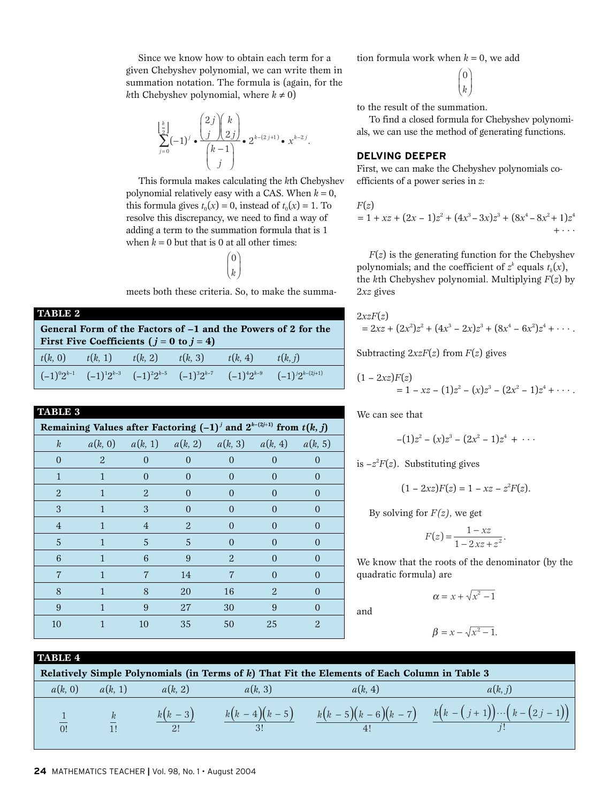Since we know how to obtain each term for a given Chebyshev polynomial, we can write them in summation notation. The formula is (again, for the *k*th Chebyshev polynomial, where  $k \neq 0$ )

$$
\sum_{j=0}^{\left\lfloor \frac{k}{2} \right\rfloor} (-1)^j \cdot \frac{\binom{2j}{j} \binom{k}{2j}}{\binom{k-1}{j}} \cdot 2^{k - (2j+1)} \cdot x^{k-2j}.
$$

This formula makes calculating the *k*th Chebyshev polynomial relatively easy with a CAS. When  $k = 0$ , this formula gives  $t_0(x) = 0$ , instead of  $t_0(x) = 1$ . To resolve this discrepancy, we need to find a way of adding a term to the summation formula that is 1 when  $k = 0$  but that is 0 at all other times:

> $(0)$  $\left(\begin{matrix}k\end{matrix}\right)$

meets both these criteria. So, to make the summa-

| TABLE 2                                                       |                                                |         |         |         |         |  |  |
|---------------------------------------------------------------|------------------------------------------------|---------|---------|---------|---------|--|--|
| General Form of the Factors of -1 and the Powers of 2 for the |                                                |         |         |         |         |  |  |
|                                                               | First Five Coefficients ( $j = 0$ to $j = 4$ ) |         |         |         |         |  |  |
| t(k, 0)                                                       | t(k, 1)                                        | t(k, 2) | t(k, 3) | t(k, 4) | t(k, j) |  |  |
|                                                               |                                                |         |         |         |         |  |  |

| <b>TABLE 3</b>                                                              |   |                                                             |                |                |                |                |  |  |
|-----------------------------------------------------------------------------|---|-------------------------------------------------------------|----------------|----------------|----------------|----------------|--|--|
| Remaining Values after Factoring $(-1)^j$ and $2^{k-(2j+1)}$ from $t(k, j)$ |   |                                                             |                |                |                |                |  |  |
| $\boldsymbol{k}$                                                            |   | $a(k, 0)$ $a(k, 1)$ $a(k, 2)$ $a(k, 3)$ $a(k, 4)$ $a(k, 5)$ |                |                |                |                |  |  |
| $\overline{0}$                                                              | 2 | $\overline{0}$                                              | $\overline{0}$ | $\overline{0}$ | $\theta$       | $\overline{0}$ |  |  |
| 1                                                                           | 1 | $\overline{0}$                                              | $\Omega$       | $\Omega$       | $\Omega$       | $\Omega$       |  |  |
| $\overline{2}$                                                              | 1 | $\overline{2}$                                              | $\theta$       | $\overline{0}$ | $\overline{0}$ | $\overline{0}$ |  |  |
| 3                                                                           |   | 3                                                           | $\Omega$       | $\Omega$       | $\Omega$       | 0              |  |  |
| $\overline{4}$                                                              |   | $\overline{4}$                                              | $\overline{2}$ | $\overline{0}$ | $\theta$       | $\overline{0}$ |  |  |
| 5                                                                           | 1 | 5                                                           | 5              | $\Omega$       | $\theta$       | $\Omega$       |  |  |
| 6                                                                           | 1 | 6                                                           | 9              | $\overline{2}$ | $\Omega$       | $\Omega$       |  |  |
| $\overline{7}$                                                              |   | $\overline{7}$                                              | 14             | 7              | $\Omega$       | $\theta$       |  |  |
| 8                                                                           |   | 8                                                           | 20             | 16             | $\overline{2}$ | $\Omega$       |  |  |
| 9                                                                           | 1 | 9                                                           | 27             | 30             | 9              | $\Omega$       |  |  |
| 10                                                                          |   | 10                                                          | 35             | 50             | 25             | 2              |  |  |
|                                                                             |   |                                                             |                |                |                |                |  |  |

tion formula work when  $k = 0$ , we add

 $\overline{0}$  $\big\downharpoonright_k$  $\sqrt{2}$  $\left( \frac{1}{2} \right)$  $\int$ 

to the result of the summation.

To find a closed formula for Chebyshev polynomials, we can use the method of generating functions.

## **DELVING DEEPER**

First, we can make the Chebyshev polynomials coefficients of a power series in *z:*

$$
F(z)
$$
  
= 1 + xz + (2x - 1)z<sup>2</sup> + (4x<sup>3</sup> - 3x)z<sup>3</sup> + (8x<sup>4</sup> - 8x<sup>2</sup> + 1)z<sup>4</sup>  
+...

 $F(z)$  is the generating function for the Chebyshev polynomials; and the coefficient of  $z^k$  equals  $t_k(x)$ , the *k*th Chebyshev polynomial. Multiplying *F*(*z*) by 2*xz* gives

$$
2xzF(z) = 2xz + (2x^2)z^2 + (4x^3 - 2x)z^3 + (8x^4 - 6x^2)z^4 + \cdots
$$

Subtracting 2*xzF*(*z*) from *F*(*z*) gives

$$
(1-2xz)F(z) = 1 - xz - (1)z2 - (x)z3 - (2x2 - 1)z4 + \cdots
$$

We can see that

$$
-(1)z^2 - (x)z^3 - (2x^2 - 1)z^4 + \cdots
$$

is  $-z^2F(z)$ . Substituting gives

$$
(1 - 2xz)F(z) = 1 - xz - z^2F(z).
$$

By solving for *F(z),* we get

$$
F(z) = \frac{1 - xz}{1 - 2xz + z^2}.
$$

We know that the roots of the denominator (by the quadratic formula) are

 $\alpha = x + \sqrt{x^2 - 1}$ 

and

$$
\beta = x - \sqrt{x^2 - 1}.
$$

**TABLE 4**

| Relatively Simple Polynomials (in Terms of k) That Fit the Elements of Each Column in Table 3 |         |                |         |                |                                                               |  |  |
|-----------------------------------------------------------------------------------------------|---------|----------------|---------|----------------|---------------------------------------------------------------|--|--|
| a(k, 0)                                                                                       | a(k, 1) | a(k, 2)        | a(k, 3) | a(k, 4)        | a(k, j)                                                       |  |  |
| 0!                                                                                            | k       | $k(k-3)$<br>2! |         | 4 <sup>1</sup> | $k(k-4)(k-5)$ $k(k-5)(k-6)(k-7)$ $k(k-(j+1))\cdots(k-(2j-1))$ |  |  |